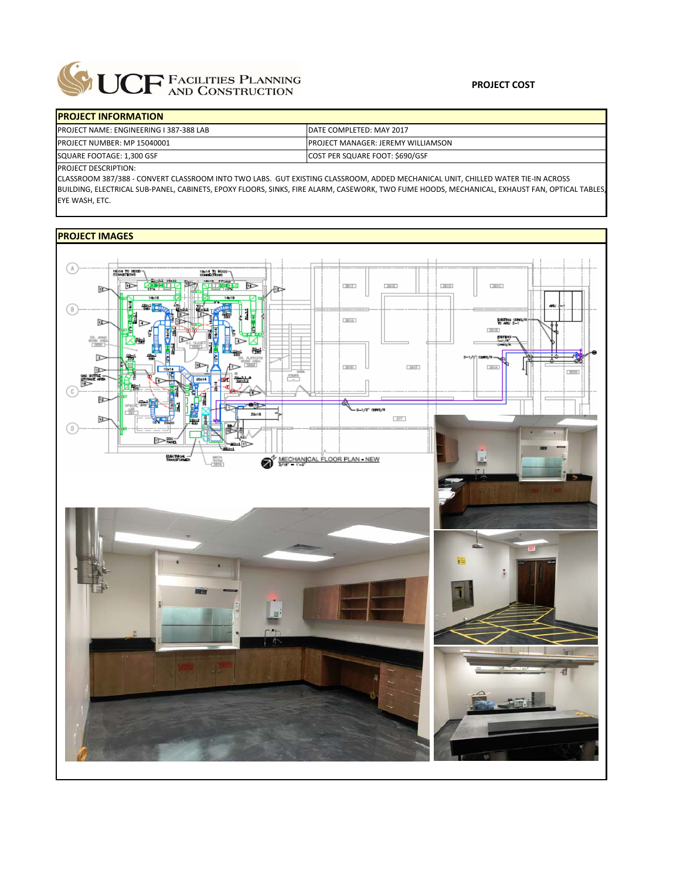

| <b>PROJECT INFORMATION</b>                     |                                            |
|------------------------------------------------|--------------------------------------------|
| <b>PROJECT NAME: ENGINEERING I 387-388 LAB</b> | <b>IDATE COMPLETED: MAY 2017</b>           |
| PROJECT NUMBER: MP 15040001                    | <b>IPROJECT MANAGER: JEREMY WILLIAMSON</b> |
| SQUARE FOOTAGE: 1,300 GSF                      | COST PER SQUARE FOOT: \$690/GSF            |

PROJECT DESCRIPTION:

CLASSROOM 387/388 ‐ CONVERT CLASSROOM INTO TWO LABS. GUT EXISTING CLASSROOM, ADDED MECHANICAL UNIT, CHILLED WATER TIE‐IN ACROSS **BUILDING, ELECTRICAL SUB-PANEL, CABINETS, EPOXY FLOORS, SINKS, FIRE ALARM, CASEWORK, TWO FUME HOODS, MECHANICAL, EXHAUST FAN, OPTICAL TABLES,** EYE WASH, ETC.

## **PROJECT IMAGES** ⊛ 18114 TO HOOD 1944 To Hoop<br>Check Them  $\overline{D}$  $\overline{\mathbb{R}}$ **2015**  $3815$  $3813$ anc. mа  $\overline{u}$ 心  $\circledcirc$ 3619 EGETING CH 医 2810 D 匬 **265**  $311F$ 385 医 **Canada** WE BUTTLE Spes C 固  $\overline{\ast}$  $-2 - 1/2$ <sup>\*</sup> OBS/3 國  $377\,$ ⊕ 企 ⊥টি⊃ 0.07% MECHANICAL FLOOR PLAN - NEW MECH.<br>Robe W.